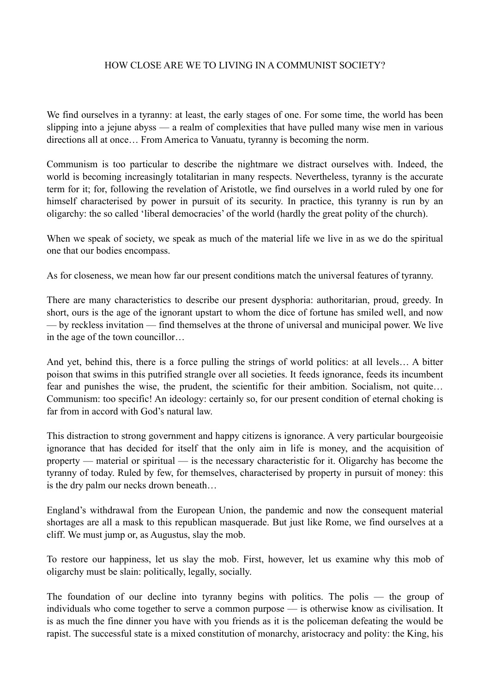## HOW CLOSE ARE WE TO LIVING IN A COMMUNIST SOCIETY?

We find ourselves in a tyranny: at least, the early stages of one. For some time, the world has been slipping into a jejune abyss — a realm of complexities that have pulled many wise men in various directions all at once… From America to Vanuatu, tyranny is becoming the norm.

Communism is too particular to describe the nightmare we distract ourselves with. Indeed, the world is becoming increasingly totalitarian in many respects. Nevertheless, tyranny is the accurate term for it; for, following the revelation of Aristotle, we find ourselves in a world ruled by one for himself characterised by power in pursuit of its security. In practice, this tyranny is run by an oligarchy: the so called 'liberal democracies' of the world (hardly the great polity of the church).

When we speak of society, we speak as much of the material life we live in as we do the spiritual one that our bodies encompass.

As for closeness, we mean how far our present conditions match the universal features of tyranny.

There are many characteristics to describe our present dysphoria: authoritarian, proud, greedy. In short, ours is the age of the ignorant upstart to whom the dice of fortune has smiled well, and now — by reckless invitation — find themselves at the throne of universal and municipal power. We live in the age of the town councillor…

And yet, behind this, there is a force pulling the strings of world politics: at all levels… A bitter poison that swims in this putrified strangle over all societies. It feeds ignorance, feeds its incumbent fear and punishes the wise, the prudent, the scientific for their ambition. Socialism, not quite... Communism: too specific! An ideology: certainly so, for our present condition of eternal choking is far from in accord with God's natural law.

This distraction to strong government and happy citizens is ignorance. A very particular bourgeoisie ignorance that has decided for itself that the only aim in life is money, and the acquisition of property — material or spiritual — is the necessary characteristic for it. Oligarchy has become the tyranny of today. Ruled by few, for themselves, characterised by property in pursuit of money: this is the dry palm our necks drown beneath…

England's withdrawal from the European Union, the pandemic and now the consequent material shortages are all a mask to this republican masquerade. But just like Rome, we find ourselves at a cliff. We must jump or, as Augustus, slay the mob.

To restore our happiness, let us slay the mob. First, however, let us examine why this mob of oligarchy must be slain: politically, legally, socially.

The foundation of our decline into tyranny begins with politics. The polis — the group of individuals who come together to serve a common purpose — is otherwise know as civilisation. It is as much the fine dinner you have with you friends as it is the policeman defeating the would be rapist. The successful state is a mixed constitution of monarchy, aristocracy and polity: the King, his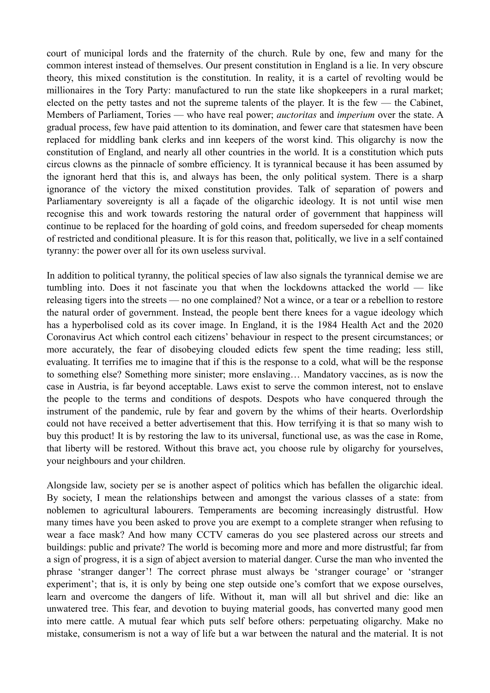court of municipal lords and the fraternity of the church. Rule by one, few and many for the common interest instead of themselves. Our present constitution in England is a lie. In very obscure theory, this mixed constitution is the constitution. In reality, it is a cartel of revolting would be millionaires in the Tory Party: manufactured to run the state like shopkeepers in a rural market; elected on the petty tastes and not the supreme talents of the player. It is the few — the Cabinet, Members of Parliament, Tories — who have real power; *auctoritas* and *imperium* over the state. A gradual process, few have paid attention to its domination, and fewer care that statesmen have been replaced for middling bank clerks and inn keepers of the worst kind. This oligarchy is now the constitution of England, and nearly all other countries in the world. It is a constitution which puts circus clowns as the pinnacle of sombre efficiency. It is tyrannical because it has been assumed by the ignorant herd that this is, and always has been, the only political system. There is a sharp ignorance of the victory the mixed constitution provides. Talk of separation of powers and Parliamentary sovereignty is all a façade of the oligarchic ideology. It is not until wise men recognise this and work towards restoring the natural order of government that happiness will continue to be replaced for the hoarding of gold coins, and freedom superseded for cheap moments of restricted and conditional pleasure. It is for this reason that, politically, we live in a self contained tyranny: the power over all for its own useless survival.

In addition to political tyranny, the political species of law also signals the tyrannical demise we are tumbling into. Does it not fascinate you that when the lockdowns attacked the world — like releasing tigers into the streets — no one complained? Not a wince, or a tear or a rebellion to restore the natural order of government. Instead, the people bent there knees for a vague ideology which has a hyperbolised cold as its cover image. In England, it is the 1984 Health Act and the 2020 Coronavirus Act which control each citizens' behaviour in respect to the present circumstances; or more accurately, the fear of disobeying clouded edicts few spent the time reading; less still, evaluating. It terrifies me to imagine that if this is the response to a cold, what will be the response to something else? Something more sinister; more enslaving… Mandatory vaccines, as is now the case in Austria, is far beyond acceptable. Laws exist to serve the common interest, not to enslave the people to the terms and conditions of despots. Despots who have conquered through the instrument of the pandemic, rule by fear and govern by the whims of their hearts. Overlordship could not have received a better advertisement that this. How terrifying it is that so many wish to buy this product! It is by restoring the law to its universal, functional use, as was the case in Rome, that liberty will be restored. Without this brave act, you choose rule by oligarchy for yourselves, your neighbours and your children.

Alongside law, society per se is another aspect of politics which has befallen the oligarchic ideal. By society, I mean the relationships between and amongst the various classes of a state: from noblemen to agricultural labourers. Temperaments are becoming increasingly distrustful. How many times have you been asked to prove you are exempt to a complete stranger when refusing to wear a face mask? And how many CCTV cameras do you see plastered across our streets and buildings: public and private? The world is becoming more and more and more distrustful; far from a sign of progress, it is a sign of abject aversion to material danger. Curse the man who invented the phrase 'stranger danger'! The correct phrase must always be 'stranger courage' or 'stranger experiment'; that is, it is only by being one step outside one's comfort that we expose ourselves, learn and overcome the dangers of life. Without it, man will all but shrivel and die: like an unwatered tree. This fear, and devotion to buying material goods, has converted many good men into mere cattle. A mutual fear which puts self before others: perpetuating oligarchy. Make no mistake, consumerism is not a way of life but a war between the natural and the material. It is not